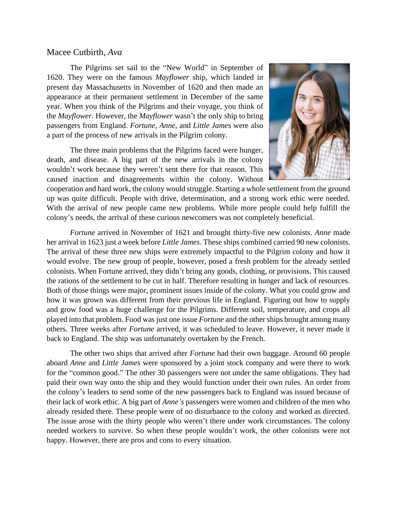## Macee Cutbirth, *Ava*

The Pilgrims set sail to the "New World" in September of 1620. They were on the famous *Mayflower* ship, which landed in present day Massachusetts in November of 1620 and then made an appearance at their permanent settlement in December of the same year. When you think of the Pilgrims and their voyage, you think of the *Mayflower*. However, the *Mayflower* wasn't the only ship to bring passengers from England. *Fortune*, *Anne*, and *Little James* were also a part of the process of new arrivals in the Pilgrim colony.

The three main problems that the Pilgrims faced were hunger, death, and disease. A big part of the new arrivals in the colony wouldn't work because they weren't sent there for that reason. This caused inaction and disagreements within the colony. Without



cooperation and hard work, the colony would struggle. Starting a whole settlement from the ground up was quite difficult. People with drive, determination, and a strong work ethic were needed. With the arrival of new people came new problems. While more people could help fulfill the colony's needs, the arrival of these curious newcomers was not completely beneficial.

*Fortune* arrived in November of 1621 and brought thirty-five new colonists. *Anne* made her arrival in 1623 just a week before *Little James*. These ships combined carried 90 new colonists. The arrival of these three new ships were extremely impactful to the Pilgrim colony and how it would evolve. The new group of people, however, posed a fresh problem for the already settled colonists. When Fortune arrived, they didn't bring any goods, clothing, or provisions. This caused the rations of the settlement to be cut in half. Therefore resulting in hunger and lack of resources. Both of those things were major, prominent issues inside of the colony. What you could grow and how it was grown was different from their previous life in England. Figuring out how to supply and grow food was a huge challenge for the Pilgrims. Different soil, temperature, and crops all played into that problem. Food was just one issue *Fortune* and the other ships brought among many others. Three weeks after *Fortune* arrived, it was scheduled to leave. However, it never made it back to England. The ship was unfortunately overtaken by the French.

The other two ships that arrived after *Fortune* had their own baggage. Around 60 people aboard *Anne* and *Little James* were sponsored by a joint stock company and were there to work for the "common good." The other 30 passengers were not under the same obligations. They had paid their own way onto the ship and they would function under their own rules. An order from the colony's leaders to send some of the new passengers back to England was issued because of their lack of work ethic. A big part of *Anne's* passengers were women and children of the men who already resided there. These people were of no disturbance to the colony and worked as directed. The issue arose with the thirty people who weren't there under work circumstances. The colony needed workers to survive. So when these people wouldn't work, the other colonists were not happy. However, there are pros and cons to every situation.